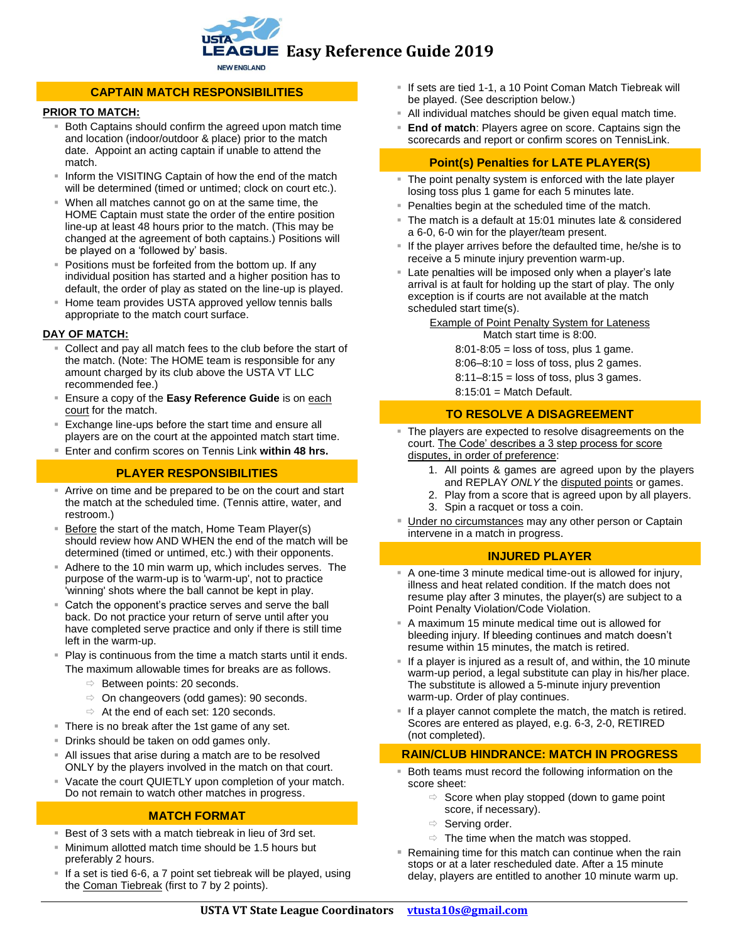

# **CAPTAIN MATCH RESPONSIBILITIES**

### **PRIOR TO MATCH:**

- Both Captains should confirm the agreed upon match time and location (indoor/outdoor & place) prior to the match date. Appoint an acting captain if unable to attend the match.
- Inform the VISITING Captain of how the end of the match will be determined (timed or untimed; clock on court etc.).
- When all matches cannot go on at the same time, the HOME Captain must state the order of the entire position line-up at least 48 hours prior to the match. (This may be changed at the agreement of both captains.) Positions will be played on a 'followed by' basis.
- Positions must be forfeited from the bottom up. If any individual position has started and a higher position has to default, the order of play as stated on the line-up is played.
- Home team provides USTA approved yellow tennis balls appropriate to the match court surface.

#### **DAY OF MATCH:**

- Collect and pay all match fees to the club before the start of the match. (Note: The HOME team is responsible for any amount charged by its club above the USTA VT LLC recommended fee.)
- Ensure a copy of the **Easy Reference Guide** is on each court for the match.
- Exchange line-ups before the start time and ensure all players are on the court at the appointed match start time.
- Enter and confirm scores on Tennis Link **within 48 hrs.**

## **PLAYER RESPONSIBILITIES**

- Arrive on time and be prepared to be on the court and start the match at the scheduled time. (Tennis attire, water, and restroom.)
- Before the start of the match, Home Team Player(s) should review how AND WHEN the end of the match will be determined (timed or untimed, etc.) with their opponents.
- Adhere to the 10 min warm up, which includes serves. The purpose of the warm-up is to 'warm-up', not to practice 'winning' shots where the ball cannot be kept in play.
- Catch the opponent's practice serves and serve the ball back. Do not practice your return of serve until after you have completed serve practice and only if there is still time left in the warm-up.
- Play is continuous from the time a match starts until it ends. The maximum allowable times for breaks are as follows.
	- $\Rightarrow$  Between points: 20 seconds.
	- $\Rightarrow$  On changeovers (odd games): 90 seconds.
	- $\Rightarrow$  At the end of each set: 120 seconds.
- **There is no break after the 1st game of any set.**
- Drinks should be taken on odd games only.
- All issues that arise during a match are to be resolved ONLY by the players involved in the match on that court.
- Vacate the court QUIETLY upon completion of your match. Do not remain to watch other matches in progress.

# **MATCH FORMAT**

- Best of 3 sets with a match tiebreak in lieu of 3rd set.
- Minimum allotted match time should be 1.5 hours but preferably 2 hours.
- If a set is tied 6-6, a 7 point set tiebreak will be played, using the Coman Tiebreak (first to 7 by 2 points).
- If sets are tied 1-1, a 10 Point Coman Match Tiebreak will be played. (See description below.)
- All individual matches should be given equal match time.
- **End of match: Players agree on score. Captains sign the** scorecards and report or confirm scores on TennisLink.

## **Point(s) Penalties for LATE PLAYER(S)**

- The point penalty system is enforced with the late player losing toss plus 1 game for each 5 minutes late.
- Penalties begin at the scheduled time of the match.
- The match is a default at 15:01 minutes late & considered a 6-0, 6-0 win for the player/team present.
- If the player arrives before the defaulted time, he/she is to receive a 5 minute injury prevention warm-up.
- **Example 1** Late penalties will be imposed only when a player's late arrival is at fault for holding up the start of play. The only exception is if courts are not available at the match scheduled start time(s).

Example of Point Penalty System for Lateness Match start time is 8:00.

 $8:01-8:05 =$  loss of toss, plus 1 game.

 $8:06-8:10 =$  loss of toss, plus 2 games.

 $8:11-8:15 =$  loss of toss, plus 3 games.

8:15:01 = Match Default.

#### **TO RESOLVE A DISAGREEMENT**

- **The players are expected to resolve disagreements on the** court. The Code' describes a 3 step process for score disputes, in order of preference:
	- 1. All points & games are agreed upon by the players and REPLAY *ONLY* the disputed points or games.
	- 2. Play from a score that is agreed upon by all players.
	- 3. Spin a racquet or toss a coin.
- Under no circumstances may any other person or Captain intervene in a match in progress.

### **INJURED PLAYER**

- A one-time 3 minute medical time-out is allowed for injury, illness and heat related condition. If the match does not resume play after 3 minutes, the player(s) are subject to a Point Penalty Violation/Code Violation.
- A maximum 15 minute medical time out is allowed for bleeding injury. If bleeding continues and match doesn't resume within 15 minutes, the match is retired.
- **If a player is injured as a result of, and within, the 10 minute** warm-up period, a legal substitute can play in his/her place. The substitute is allowed a 5-minute injury prevention warm-up. Order of play continues.
- **If a player cannot complete the match, the match is retired.** Scores are entered as played, e.g. 6-3, 2-0, RETIRED (not completed).

#### **RAIN/CLUB HINDRANCE: MATCH IN PROGRESS**

- **Both teams must record the following information on the** score sheet:
	- $\Rightarrow$  Score when play stopped (down to game point score, if necessary).
	- $\Rightarrow$  Serving order.
	- $\Rightarrow$  The time when the match was stopped.
- Remaining time for this match can continue when the rain stops or at a later rescheduled date. After a 15 minute delay, players are entitled to another 10 minute warm up.